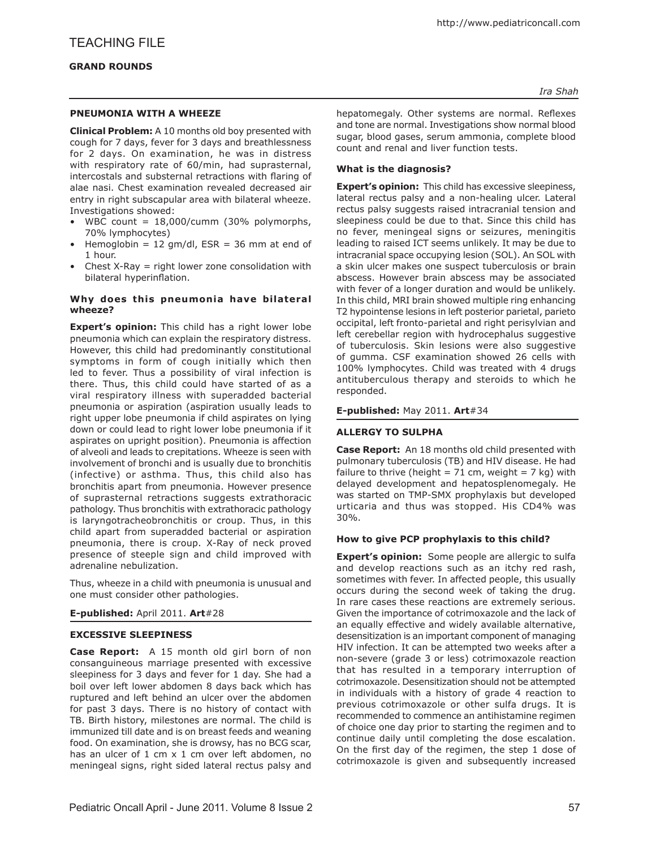## **Pneumonia with a wheeze**

**Clinical Problem:** A 10 months old boy presented with cough for 7 days, fever for 3 days and breathlessness for 2 days. On examination, he was in distress with respiratory rate of 60/min, had suprasternal, intercostals and substernal retractions with flaring of alae nasi. Chest examination revealed decreased air entry in right subscapular area with bilateral wheeze. Investigations showed:

- WBC count = 18,000/cumm (30% polymorphs, 70% lymphocytes)
- Hemoglobin = 12 gm/dl,  $ESR = 36$  mm at end of 1 hour.
- Chest  $X-Ray = right$  lower zone consolidation with bilateral hyperinflation.

#### **Why does this pneumonia have bilateral wheeze?**

**Expert's opinion:** This child has a right lower lobe pneumonia which can explain the respiratory distress. However, this child had predominantly constitutional symptoms in form of cough initially which then led to fever. Thus a possibility of viral infection is there. Thus, this child could have started of as a viral respiratory illness with superadded bacterial pneumonia or aspiration (aspiration usually leads to right upper lobe pneumonia if child aspirates on lying down or could lead to right lower lobe pneumonia if it aspirates on upright position). Pneumonia is affection of alveoli and leads to crepitations. Wheeze is seen with involvement of bronchi and is usually due to bronchitis (infective) or asthma. Thus, this child also has bronchitis apart from pneumonia. However presence of suprasternal retractions suggests extrathoracic pathology. Thus bronchitis with extrathoracic pathology is laryngotracheobronchitis or croup. Thus, in this child apart from superadded bacterial or aspiration pneumonia, there is croup. X-Ray of neck proved presence of steeple sign and child improved with adrenaline nebulization.

Thus, wheeze in a child with pneumonia is unusual and one must consider other pathologies.

## **E-published:** April 2011. **Art**#28

## **Excessive sleepiness**

**Case Report:** A 15 month old girl born of non consanguineous marriage presented with excessive sleepiness for 3 days and fever for 1 day. She had a boil over left lower abdomen 8 days back which has ruptured and left behind an ulcer over the abdomen for past 3 days. There is no history of contact with TB. Birth history, milestones are normal. The child is immunized till date and is on breast feeds and weaning food. On examination, she is drowsy, has no BCG scar, has an ulcer of 1 cm x 1 cm over left abdomen, no meningeal signs, right sided lateral rectus palsy and

*Ira Shah*

hepatomegaly. Other systems are normal. Reflexes and tone are normal. Investigations show normal blood sugar, blood gases, serum ammonia, complete blood count and renal and liver function tests.

# **What is the diagnosis?**

**Expert's opinion:** This child has excessive sleepiness, lateral rectus palsy and a non-healing ulcer. Lateral rectus palsy suggests raised intracranial tension and sleepiness could be due to that. Since this child has no fever, meningeal signs or seizures, meningitis leading to raised ICT seems unlikely. It may be due to intracranial space occupying lesion (SOL). An SOL with a skin ulcer makes one suspect tuberculosis or brain abscess. However brain abscess may be associated with fever of a longer duration and would be unlikely. In this child, MRI brain showed multiple ring enhancing T2 hypointense lesions in left posterior parietal, parieto occipital, left fronto-parietal and right perisylvian and left cerebellar region with hydrocephalus suggestive of tuberculosis. Skin lesions were also suggestive of gumma. CSF examination showed 26 cells with 100% lymphocytes. Child was treated with 4 drugs antituberculous therapy and steroids to which he responded.

#### **E-published:** May 2011. **Art**#34

## **Allergy to sulpha**

**Case Report:** An 18 months old child presented with pulmonary tuberculosis (TB) and HIV disease. He had failure to thrive (height =  $71$  cm, weight =  $7$  kg) with delayed development and hepatosplenomegaly. He was started on TMP-SMX prophylaxis but developed urticaria and thus was stopped. His CD4% was 30%.

# **How to give PCP prophylaxis to this child?**

**Expert's opinion:** Some people are allergic to sulfa and develop reactions such as an itchy red rash, sometimes with fever. In affected people, this usually occurs during the second week of taking the drug. In rare cases these reactions are extremely serious. Given the importance of cotrimoxazole and the lack of an equally effective and widely available alternative, desensitization is an important component of managing HIV infection. It can be attempted two weeks after a non-severe (grade 3 or less) cotrimoxazole reaction that has resulted in a temporary interruption of cotrimoxazole. Desensitization should not be attempted in individuals with a history of grade 4 reaction to previous cotrimoxazole or other sulfa drugs. It is recommended to commence an antihistamine regimen of choice one day prior to starting the regimen and to continue daily until completing the dose escalation. On the first day of the regimen, the step 1 dose of cotrimoxazole is given and subsequently increased